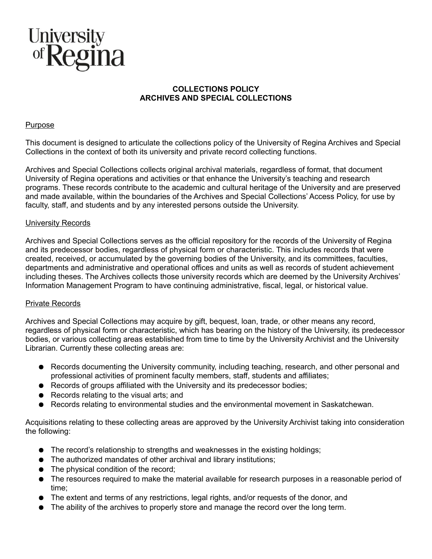

# **COLLECTIONS POLICY ARCHIVES AND SPECIAL COLLECTIONS**

### Purpose

This document is designed to articulate the collections policy of the University of Regina Archives and Special Collections in the context of both its university and private record collecting functions.

Archives and Special Collections collects original archival materials, regardless of format, that document University of Regina operations and activities or that enhance the University's teaching and research programs. These records contribute to the academic and cultural heritage of the University and are preserved and made available, within the boundaries of the Archives and Special Collections' Access Policy, for use by faculty, staff, and students and by any interested persons outside the University.

# University Records

Archives and Special Collections serves as the official repository for the records of the University of Regina and its predecessor bodies, regardless of physical form or characteristic. This includes records that were created, received, or accumulated by the governing bodies of the University, and its committees, faculties, departments and administrative and operational offices and units as well as records of student achievement including theses. The Archives collects those university records which are deemed by the University Archives' Information Management Program to have continuing administrative, fiscal, legal, or historical value.

#### Private Records

Archives and Special Collections may acquire by gift, bequest, loan, trade, or other means any record, regardless of physical form or characteristic, which has bearing on the history of the University, its predecessor bodies, or various collecting areas established from time to time by the University Archivist and the University Librarian. Currently these collecting areas are:

- Records documenting the University community, including teaching, research, and other personal and professional activities of prominent faculty members, staff, students and affiliates;
- Records of groups affiliated with the University and its predecessor bodies;
- Records relating to the visual arts; and
- Records relating to environmental studies and the environmental movement in Saskatchewan.

Acquisitions relating to these collecting areas are approved by the University Archivist taking into consideration the following:

- The record's relationship to strengths and weaknesses in the existing holdings;
- The authorized mandates of other archival and library institutions;
- The physical condition of the record;
- The resources required to make the material available for research purposes in a reasonable period of time;
- The extent and terms of any restrictions, legal rights, and/or requests of the donor, and
- The ability of the archives to properly store and manage the record over the long term.